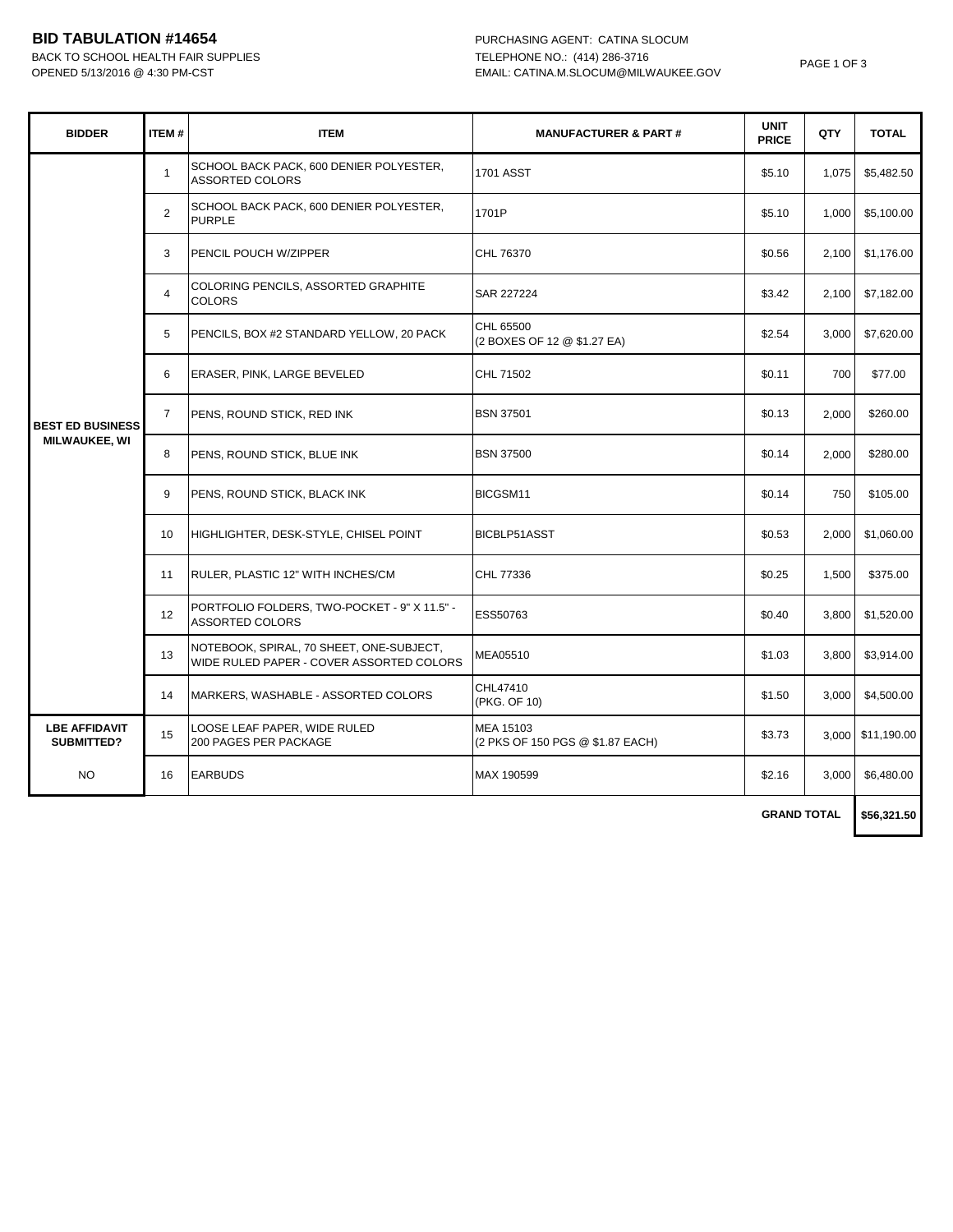## **BID TABULATION #14654** PURCHASING AGENT: CATINA SLOCUM

BACK TO SCHOOL HEALTH FAIR SUPPLIES TELEPHONE NO.: (414) 286-3716

|  | PAGE 1 OF 3 |  |
|--|-------------|--|
|--|-------------|--|

| <b>BIDDER</b>                      | <b>ITEM#</b>   | <b>ITEM</b>                                                                          | <b>MANUFACTURER &amp; PART#</b>               | <b>UNIT</b><br><b>PRICE</b> | QTY   | <b>TOTAL</b>      |
|------------------------------------|----------------|--------------------------------------------------------------------------------------|-----------------------------------------------|-----------------------------|-------|-------------------|
|                                    | $\mathbf{1}$   | SCHOOL BACK PACK, 600 DENIER POLYESTER,<br><b>ASSORTED COLORS</b>                    | <b>1701 ASST</b>                              | \$5.10                      | 1,075 | \$5,482.50        |
|                                    | $\overline{2}$ | SCHOOL BACK PACK, 600 DENIER POLYESTER,<br><b>PURPLE</b>                             | 1701P                                         | \$5.10                      | 1,000 | \$5,100.00        |
|                                    | 3              | PENCIL POUCH W/ZIPPER                                                                | CHL 76370                                     | \$0.56                      | 2,100 | \$1,176.00        |
|                                    | $\overline{4}$ | COLORING PENCILS, ASSORTED GRAPHITE<br><b>COLORS</b>                                 | SAR 227224                                    | \$3.42                      | 2,100 | \$7,182.00        |
|                                    | 5              | PENCILS, BOX #2 STANDARD YELLOW, 20 PACK                                             | CHL 65500<br>(2 BOXES OF 12 @ \$1.27 EA)      | \$2.54                      | 3,000 | \$7,620.00        |
|                                    | 6              | ERASER, PINK, LARGE BEVELED                                                          | CHL 71502                                     | \$0.11                      | 700   | \$77.00           |
| <b>BEST ED BUSINESS</b>            | $\overline{7}$ | PENS, ROUND STICK, RED INK                                                           | <b>BSN 37501</b>                              | \$0.13                      | 2,000 | \$260.00          |
| <b>MILWAUKEE, WI</b>               | 8              | PENS, ROUND STICK, BLUE INK                                                          | <b>BSN 37500</b>                              | \$0.14                      | 2,000 | \$280.00          |
|                                    | 9              | PENS, ROUND STICK, BLACK INK                                                         | BICGSM11                                      | \$0.14                      | 750   | \$105.00          |
|                                    | 10             | HIGHLIGHTER, DESK-STYLE, CHISEL POINT                                                | BICBLP51ASST                                  | \$0.53                      | 2,000 | \$1,060.00        |
|                                    | 11             | RULER, PLASTIC 12" WITH INCHES/CM                                                    | CHL 77336                                     | \$0.25                      | 1,500 | \$375.00          |
|                                    | 12             | PORTFOLIO FOLDERS, TWO-POCKET - 9" X 11.5" -<br><b>ASSORTED COLORS</b>               | ESS50763                                      | \$0.40                      | 3,800 | \$1,520.00        |
|                                    | 13             | NOTEBOOK, SPIRAL, 70 SHEET, ONE-SUBJECT,<br>WIDE RULED PAPER - COVER ASSORTED COLORS | MEA05510                                      | \$1.03                      | 3,800 | \$3,914.00        |
|                                    | 14             | MARKERS, WASHABLE - ASSORTED COLORS                                                  | CHL47410<br>(PKG. OF 10)                      | \$1.50                      | 3,000 | \$4,500.00        |
| <b>LBE AFFIDAVIT</b><br>SUBMITTED? | 15             | LOOSE LEAF PAPER, WIDE RULED<br>200 PAGES PER PACKAGE                                | MEA 15103<br>(2 PKS OF 150 PGS @ \$1.87 EACH) | \$3.73                      |       | 3,000 \$11,190.00 |
| <b>NO</b>                          | 16             | <b>EARBUDS</b>                                                                       | MAX 190599                                    | \$2.16                      | 3.000 | \$6,480.00        |
|                                    |                |                                                                                      |                                               |                             |       |                   |

**\$56,321.50 GRAND TOTAL**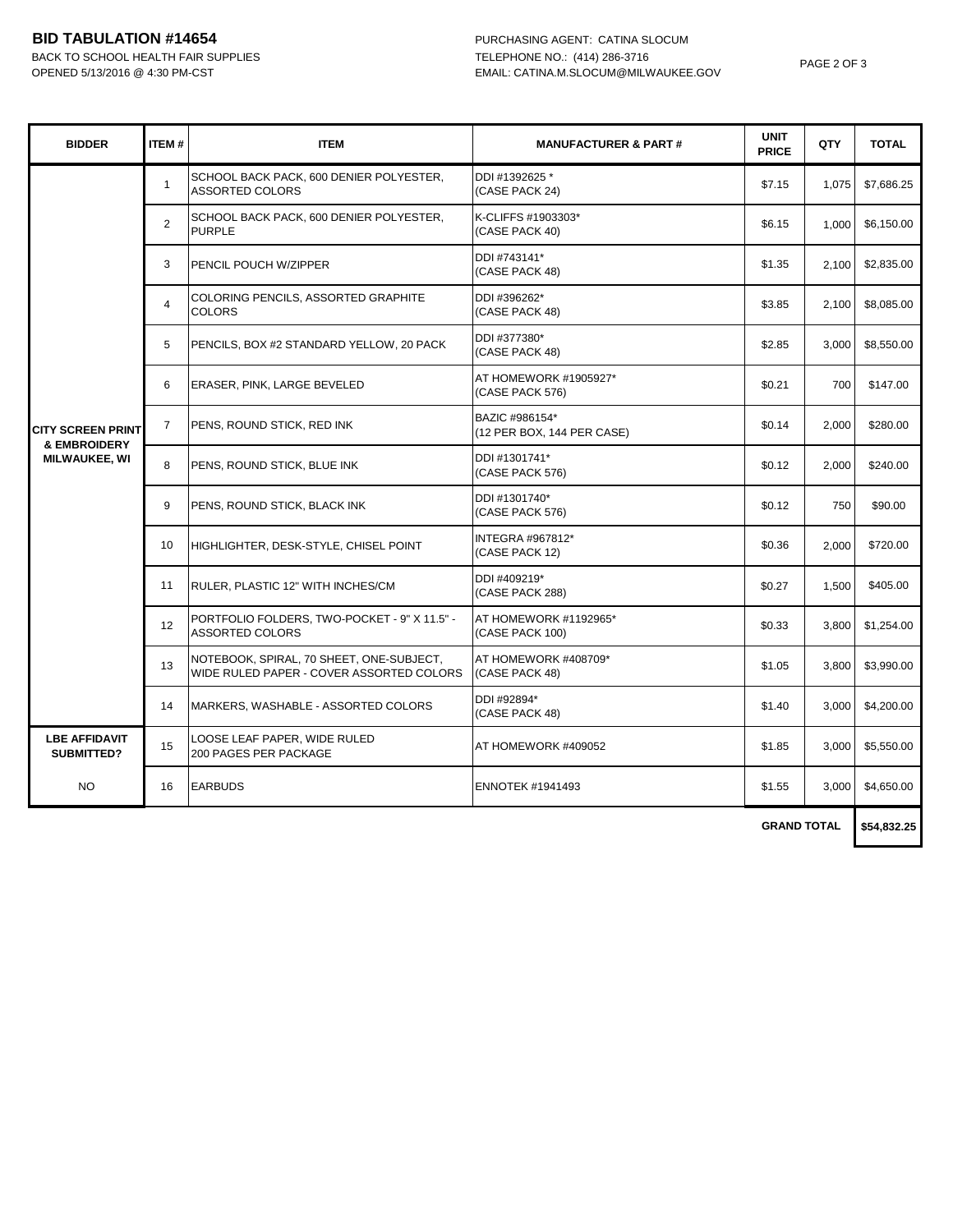## **BID TABULATION #14654** PURCHASING AGENT: CATINA SLOCUM

BACK TO SCHOOL HEALTH FAIR SUPPLIES TELEPHONE NO.: (414) 286-3716

| <b>BIDDER</b>                        | <b>ITEM#</b>   | <b>ITEM</b>                                                                          | <b>MANUFACTURER &amp; PART#</b>              | <b>UNIT</b><br><b>PRICE</b> | QTY   | <b>TOTAL</b> |
|--------------------------------------|----------------|--------------------------------------------------------------------------------------|----------------------------------------------|-----------------------------|-------|--------------|
|                                      | $\mathbf{1}$   | SCHOOL BACK PACK, 600 DENIER POLYESTER,<br><b>ASSORTED COLORS</b>                    | DDI #1392625 *<br>(CASE PACK 24)             | \$7.15                      | 1,075 | \$7,686.25   |
|                                      | $\overline{2}$ | SCHOOL BACK PACK, 600 DENIER POLYESTER,<br><b>PURPLE</b>                             | K-CLIFFS #1903303*<br>(CASE PACK 40)         | \$6.15                      | 1.000 | \$6,150.00   |
|                                      | 3              | PENCIL POUCH W/ZIPPER                                                                | DDI #743141*<br>(CASE PACK 48)               | \$1.35                      | 2.100 | \$2,835.00   |
|                                      | $\overline{4}$ | COLORING PENCILS, ASSORTED GRAPHITE<br><b>COLORS</b>                                 | DDI #396262*<br>(CASE PACK 48)               | \$3.85                      | 2.100 | \$8,085.00   |
|                                      | 5              | PENCILS, BOX #2 STANDARD YELLOW, 20 PACK                                             | DDI #377380*<br>(CASE PACK 48)               | \$2.85                      | 3.000 | \$8.550.00   |
|                                      | 6              | ERASER, PINK, LARGE BEVELED                                                          | AT HOMEWORK #1905927*<br>(CASE PACK 576)     | \$0.21                      | 700   | \$147.00     |
| <b>CITY SCREEN PRINT</b>             | $\overline{7}$ | PENS, ROUND STICK, RED INK                                                           | BAZIC #986154*<br>(12 PER BOX, 144 PER CASE) | \$0.14                      | 2,000 | \$280.00     |
| & EMBROIDERY<br><b>MILWAUKEE, WI</b> | 8              | PENS, ROUND STICK, BLUE INK                                                          | DDI #1301741*<br>(CASE PACK 576)             | \$0.12                      | 2.000 | \$240.00     |
|                                      | 9              | PENS, ROUND STICK, BLACK INK                                                         | DDI #1301740*<br>(CASE PACK 576)             | \$0.12                      | 750   | \$90.00      |
|                                      | 10             | HIGHLIGHTER, DESK-STYLE, CHISEL POINT                                                | <b>INTEGRA #967812*</b><br>(CASE PACK 12)    | \$0.36                      | 2,000 | \$720.00     |
|                                      | 11             | RULER, PLASTIC 12" WITH INCHES/CM                                                    | DDI #409219*<br>(CASE PACK 288)              | \$0.27                      | 1,500 | \$405.00     |
|                                      | 12             | PORTFOLIO FOLDERS, TWO-POCKET - 9" X 11.5" -<br><b>ASSORTED COLORS</b>               | AT HOMEWORK #1192965*<br>(CASE PACK 100)     | \$0.33                      | 3.800 | \$1,254.00   |
|                                      | 13             | NOTEBOOK, SPIRAL, 70 SHEET, ONE-SUBJECT,<br>WIDE RULED PAPER - COVER ASSORTED COLORS | AT HOMEWORK #408709*<br>(CASE PACK 48)       | \$1.05                      | 3.800 | \$3,990.00   |
|                                      | 14             | MARKERS, WASHABLE - ASSORTED COLORS                                                  | DDI #92894*<br>(CASE PACK 48)                | \$1.40                      | 3,000 | \$4,200.00   |
| <b>LBE AFFIDAVIT</b><br>SUBMITTED?   | 15             | LOOSE LEAF PAPER, WIDE RULED<br>200 PAGES PER PACKAGE                                | AT HOMEWORK #409052                          | \$1.85                      | 3,000 | \$5,550.00   |
| <b>NO</b>                            | 16             | <b>EARBUDS</b>                                                                       | <b>ENNOTEK #1941493</b>                      | \$1.55                      | 3.000 | \$4,650.00   |
|                                      |                |                                                                                      |                                              |                             |       |              |

 **GRAND TOTAL \$54,832.25**